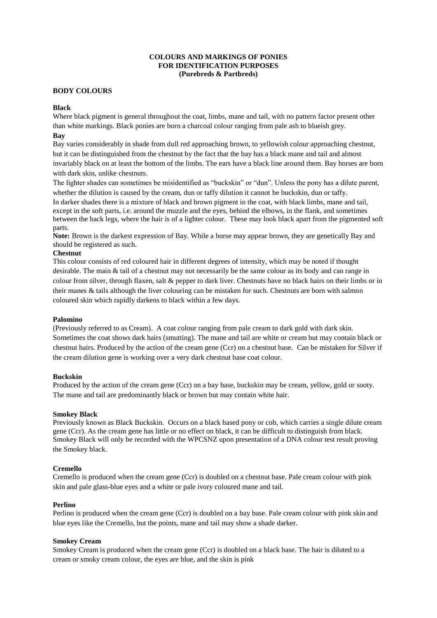# **COLOURS AND MARKINGS OF PONIES FOR IDENTIFICATION PURPOSES (Purebreds & Partbreds)**

# **BODY COLOURS**

## **Black**

Where black pigment is general throughout the coat, limbs, mane and tail, with no pattern factor present other than white markings. Black ponies are born a charcoal colour ranging from pale ash to blueish grey.

# **Bay**

Bay varies considerably in shade from dull red approaching brown, to yellowish colour approaching chestnut, but it can be distinguished from the chestnut by the fact that the bay has a black mane and tail and almost invariably black on at least the bottom of the limbs. The ears have a black line around them. Bay horses are born with dark skin, unlike chestnuts.

The lighter shades can sometimes be misidentified as "buckskin" or "dun". Unless the pony has a dilute parent, whether the dilution is caused by the cream, dun or taffy dilution it cannot be buckskin, dun or taffy.

In darker shades there is a mixture of black and brown pigment in the coat, with black limbs, mane and tail, except in the soft parts, i.e. around the muzzle and the eyes, behind the elbows, in the flank, and sometimes between the back legs, where the hair is of a lighter colour. These may look black apart from the pigmented soft parts.

**Note:** Brown is the darkest expression of Bay. While a horse may appear brown, they are genetically Bay and should be registered as such.

### **Chestnut**

This colour consists of red coloured hair in different degrees of intensity, which may be noted if thought desirable. The main & tail of a chestnut may not necessarily be the same colour as its body and can range in colour from silver, through flaxen, salt & pepper to dark liver. Chestnuts have no black hairs on their limbs or in their manes & tails although the liver colouring can be mistaken for such. Chestnuts are born with salmon coloured skin which rapidly darkens to black within a few days.

### **Palomino**

(Previously referred to as Cream). A coat colour ranging from pale cream to dark gold with dark skin. Sometimes the coat shows dark hairs (smutting). The mane and tail are white or cream but may contain black or chestnut hairs. Produced by the action of the cream gene (Ccr) on a chestnut base. Can be mistaken for Silver if the cream dilution gene is working over a very dark chestnut base coat colour.

### **Buckskin**

Produced by the action of the cream gene (Ccr) on a bay base, buckskin may be cream, yellow, gold or sooty. The mane and tail are predominantly black or brown but may contain white hair.

## **Smokey Black**

Previously known as Black Buckskin. Occurs on a black based pony or cob, which carries a single dilute cream gene (Ccr). As the cream gene has little or no effect on black, it can be difficult to distinguish from black. Smokey Black will only be recorded with the WPCSNZ upon presentation of a DNA colour test result proving the Smokey black.

# **Cremello**

Cremello is produced when the cream gene (Ccr) is doubled on a chestnut base. Pale cream colour with pink skin and pale glass-blue eyes and a white or pale ivory coloured mane and tail.

### **Perlino**

Perlino is produced when the cream gene (Ccr) is doubled on a bay base. Pale cream colour with pink skin and blue eyes like the Cremello, but the points, mane and tail may show a shade darker.

### **Smokey Cream**

Smokey Cream is produced when the cream gene (Ccr) is doubled on a black base. The hair is diluted to a cream or smoky cream colour, the eyes are blue, and the skin is pink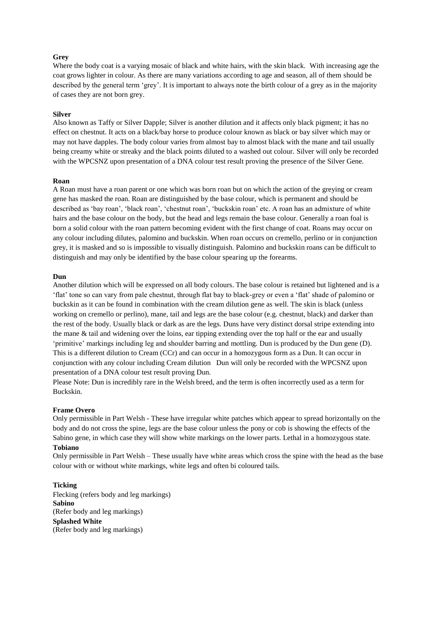### **Grey**

Where the body coat is a varying mosaic of black and white hairs, with the skin black. With increasing age the coat grows lighter in colour. As there are many variations according to age and season, all of them should be described by the general term "grey". It is important to always note the birth colour of a grey as in the majority of cases they are not born grey.

#### **Silver**

Also known as Taffy or Silver Dapple; Silver is another dilution and it affects only black pigment; it has no effect on chestnut. It acts on a black/bay horse to produce colour known as black or bay silver which may or may not have dapples. The body colour varies from almost bay to almost black with the mane and tail usually being creamy white or streaky and the black points diluted to a washed out colour. Silver will only be recorded with the WPCSNZ upon presentation of a DNA colour test result proving the presence of the Silver Gene.

### **Roan**

A Roan must have a roan parent or one which was born roan but on which the action of the greying or cream gene has masked the roan. Roan are distinguished by the base colour, which is permanent and should be described as 'bay roan', 'black roan', 'chestnut roan', 'buckskin roan' etc. A roan has an admixture of white hairs and the base colour on the body, but the head and legs remain the base colour. Generally a roan foal is born a solid colour with the roan pattern becoming evident with the first change of coat. Roans may occur on any colour including dilutes, palomino and buckskin. When roan occurs on cremello, perlino or in conjunction grey, it is masked and so is impossible to visually distinguish. Palomino and buckskin roans can be difficult to distinguish and may only be identified by the base colour spearing up the forearms.

#### **Dun**

Another dilution which will be expressed on all body colours. The base colour is retained but lightened and is a "flat" tone so can vary from pale chestnut, through flat bay to black-grey or even a "flat" shade of palomino or buckskin as it can be found in combination with the cream dilution gene as well. The skin is black (unless working on cremello or perlino), mane, tail and legs are the base colour (e.g. chestnut, black) and darker than the rest of the body. Usually black or dark as are the legs. Duns have very distinct dorsal stripe extending into the mane & tail and widening over the loins, ear tipping extending over the top half or the ear and usually "primitive" markings including leg and shoulder barring and mottling. Dun is produced by the Dun gene (D). This is a different dilution to Cream (CCr) and can occur in a homozygous form as a Dun. It can occur in conjunction with any colour including Cream dilution Dun will only be recorded with the WPCSNZ upon presentation of a DNA colour test result proving Dun.

Please Note: Dun is incredibly rare in the Welsh breed, and the term is often incorrectly used as a term for Buckskin.

#### **Frame Overo**

Only permissible in Part Welsh - These have irregular white patches which appear to spread horizontally on the body and do not cross the spine, legs are the base colour unless the pony or cob is showing the effects of the Sabino gene, in which case they will show white markings on the lower parts. Lethal in a homozygous state.

# **Tobiano**

Only permissible in Part Welsh – These usually have white areas which cross the spine with the head as the base colour with or without white markings, white legs and often bi coloured tails.

#### **Ticking**

Flecking (refers body and leg markings) **Sabino** (Refer body and leg markings) **Splashed White** (Refer body and leg markings)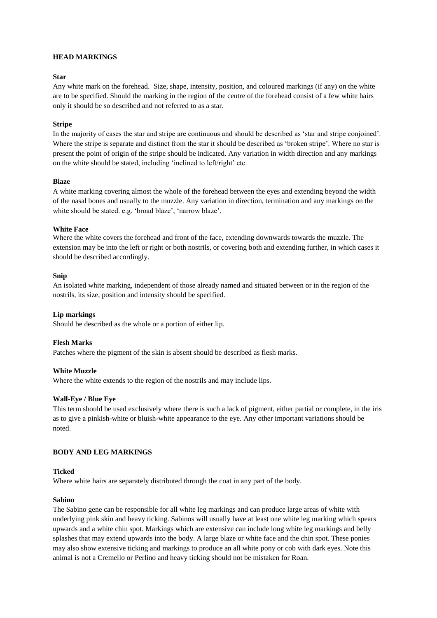# **HEAD MARKINGS**

# **Star**

Any white mark on the forehead. Size, shape, intensity, position, and coloured markings (if any) on the white are to be specified. Should the marking in the region of the centre of the forehead consist of a few white hairs only it should be so described and not referred to as a star.

### **Stripe**

In the majority of cases the star and stripe are continuous and should be described as "star and stripe conjoined". Where the stripe is separate and distinct from the star it should be described as "broken stripe". Where no star is present the point of origin of the stripe should be indicated. Any variation in width direction and any markings on the white should be stated, including "inclined to left/right" etc.

### **Blaze**

A white marking covering almost the whole of the forehead between the eyes and extending beyond the width of the nasal bones and usually to the muzzle. Any variation in direction, termination and any markings on the white should be stated. e.g. 'broad blaze', 'narrow blaze'.

### **White Face**

Where the white covers the forehead and front of the face, extending downwards towards the muzzle. The extension may be into the left or right or both nostrils, or covering both and extending further, in which cases it should be described accordingly.

### **Snip**

An isolated white marking, independent of those already named and situated between or in the region of the nostrils, its size, position and intensity should be specified.

# **Lip markings**

Should be described as the whole or a portion of either lip.

# **Flesh Marks**

Patches where the pigment of the skin is absent should be described as flesh marks.

### **White Muzzle**

Where the white extends to the region of the nostrils and may include lips.

### **Wall-Eye / Blue Eye**

This term should be used exclusively where there is such a lack of pigment, either partial or complete, in the iris as to give a pinkish-white or bluish-white appearance to the eye. Any other important variations should be noted.

# **BODY AND LEG MARKINGS**

### **Ticked**

Where white hairs are separately distributed through the coat in any part of the body.

### **Sabino**

The Sabino gene can be responsible for all white leg markings and can produce large areas of white with underlying pink skin and heavy ticking. Sabinos will usually have at least one white leg marking which spears upwards and a white chin spot. Markings which are extensive can include long white leg markings and belly splashes that may extend upwards into the body. A large blaze or white face and the chin spot. These ponies may also show extensive ticking and markings to produce an all white pony or cob with dark eyes. Note this animal is not a Cremello or Perlino and heavy ticking should not be mistaken for Roan.